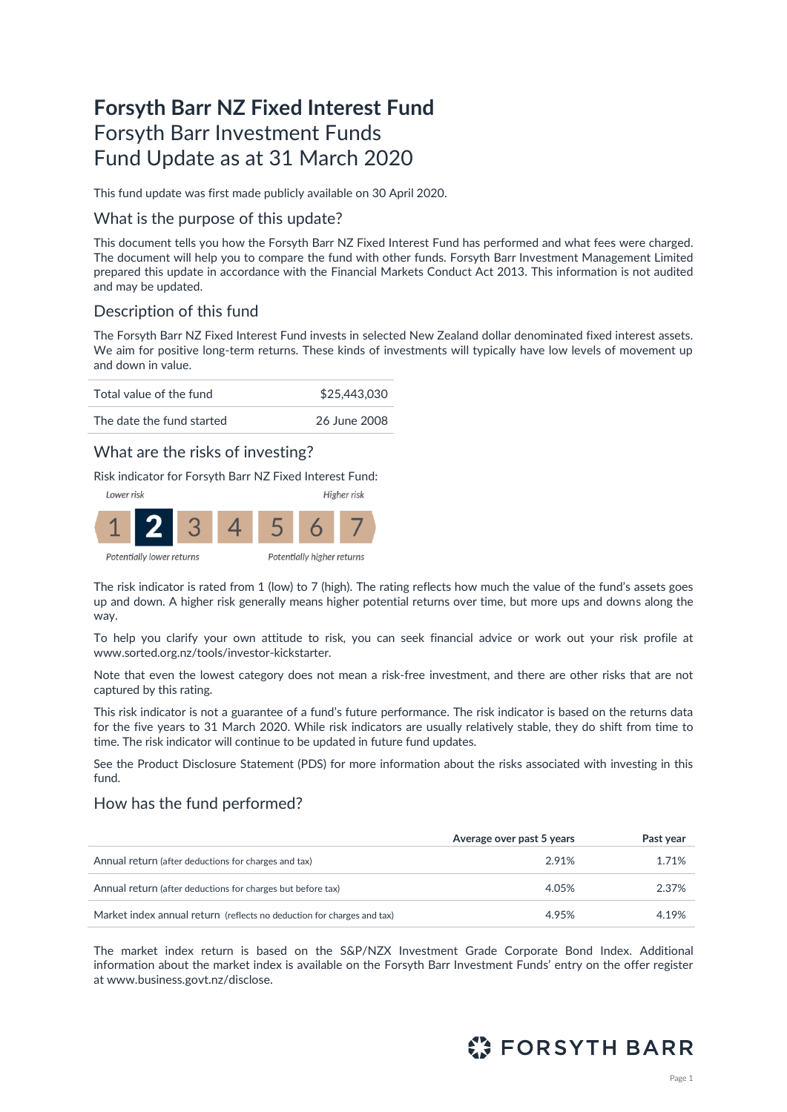# **Forsyth Barr NZ Fixed Interest Fund** Forsyth Barr Investment Funds Fund Update as at 31 March 2020

This fund update was first made publicly available on 30 April 2020.

### What is the purpose of this update?

This document tells you how the Forsyth Barr NZ Fixed Interest Fund has performed and what fees were charged. The document will help you to compare the fund with other funds. Forsyth Barr Investment Management Limited prepared this update in accordance with the Financial Markets Conduct Act 2013. This information is not audited and may be updated.

### Description of this fund

The Forsyth Barr NZ Fixed Interest Fund invests in selected New Zealand dollar denominated fixed interest assets. We aim for positive long-term returns. These kinds of investments will typically have low levels of movement up and down in value.



### What are the risks of investing?

Risk indicator for Forsyth Barr NZ Fixed Interest Fund:



Potentially lower returns

The risk indicator is rated from 1 (low) to 7 (high). The rating reflects how much the value of the fund's assets goes up and down. A higher risk generally means higher potential returns over time, but more ups and downs along the way.

To help you clarify your own attitude to risk, you can seek financial advice or work out your risk profile at [www.sorted.org.nz/tools/investor-kickstarter.](http://www.sorted.org.nz/tools/investor-kickstarter) 

Note that even the lowest category does not mean a risk-free investment, and there are other risks that are not captured by this rating.

This risk indicator is not a guarantee of a fund's future performance. The risk indicator is based on the returns data for the five years to 31 March 2020. While risk indicators are usually relatively stable, they do shift from time to time. The risk indicator will continue to be updated in future fund updates.

See the Product Disclosure Statement (PDS) for more information about the risks associated with investing in this fund.

### How has the fund performed?

|                                                                        | Average over past 5 years | Past year |
|------------------------------------------------------------------------|---------------------------|-----------|
| Annual return (after deductions for charges and tax)                   | 2.91%                     | 1.71%     |
| Annual return (after deductions for charges but before tax)            | 4.05%                     | 2.37%     |
| Market index annual return (reflects no deduction for charges and tax) | 4.95%                     | 4.19%     |

The market index return is based on the S&P/NZX Investment Grade Corporate Bond Index. Additional information about the market index is available on the Forsyth Barr Investment Funds' entry on the offer register at [www.business.govt.nz/disclose.](http://www.business.govt.nz/disclose)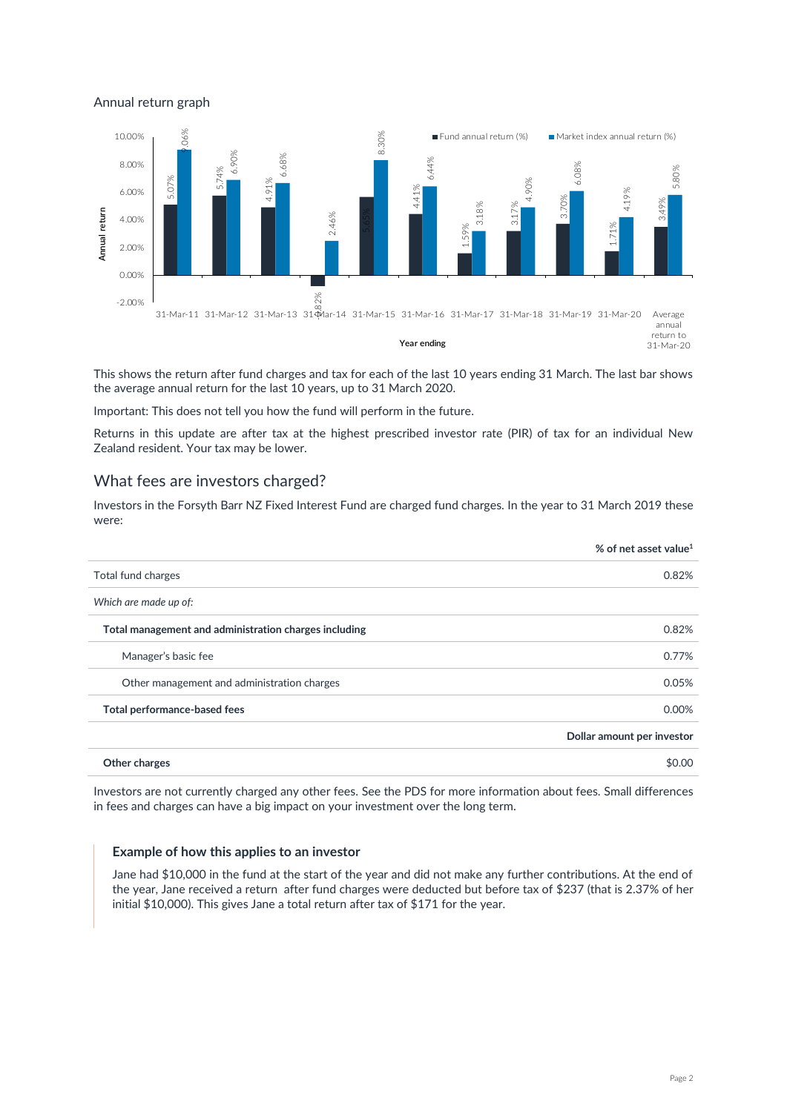#### Annual return graph



This shows the return after fund charges and tax for each of the last 10 years ending 31 March. The last bar shows the average annual return for the last 10 years, up to 31 March 2020.

Important: This does not tell you how the fund will perform in the future.

Returns in this update are after tax at the highest prescribed investor rate (PIR) of tax for an individual New Zealand resident. Your tax may be lower.

### What fees are investors charged?

Investors in the Forsyth Barr NZ Fixed Interest Fund are charged fund charges. In the year to 31 March 2019 these were:

|                                                       | % of net asset value <sup>1</sup> |
|-------------------------------------------------------|-----------------------------------|
| Total fund charges                                    | 0.82%                             |
| Which are made up of:                                 |                                   |
| Total management and administration charges including | 0.82%                             |
| Manager's basic fee                                   | 0.77%                             |
| Other management and administration charges           | 0.05%                             |
| Total performance-based fees                          | 0.00%                             |
|                                                       | Dollar amount per investor        |
| Other charges                                         | \$0.00                            |

Investors are not currently charged any other fees. See the PDS for more information about fees. Small differences in fees and charges can have a big impact on your investment over the long term.

#### **Example of how this applies to an investor**

Jane had \$10,000 in the fund at the start of the year and did not make any further contributions. At the end of the year, Jane received a return after fund charges were deducted but before tax of \$237 (that is 2.37% of her initial \$10,000). This gives Jane a total return after tax of \$171 for the year.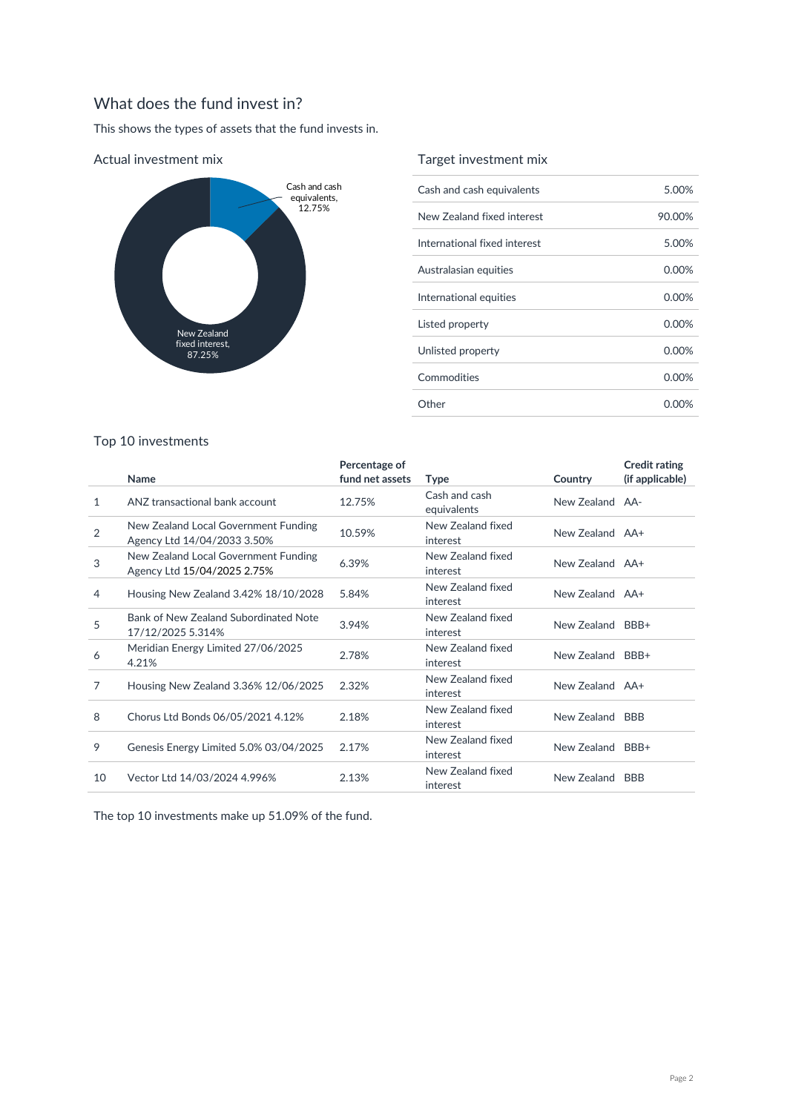## What does the fund invest in?

This shows the types of assets that the fund invests in.



### Target investment mix

| Cash and cash equivalents    | 5.00%    |
|------------------------------|----------|
| New Zealand fixed interest   | 90.00%   |
| International fixed interest | 5.00%    |
| Australasian equities        | 0.00%    |
| International equities       | $0.00\%$ |
| Listed property              | $0.00\%$ |
| Unlisted property            | 0.00%    |
| Commodities                  | 0.00%    |
| Other                        | 0.00%    |

### Top 10 investments

|                |                                                                     | Percentage of   |                               |                  | <b>Credit rating</b> |
|----------------|---------------------------------------------------------------------|-----------------|-------------------------------|------------------|----------------------|
|                | Name                                                                | fund net assets | <b>Type</b>                   | Country          | (if applicable)      |
| 1              | ANZ transactional bank account                                      | 12.75%          | Cash and cash<br>equivalents  | New Zealand AA-  |                      |
| $\overline{2}$ | New Zealand Local Government Funding<br>Agency Ltd 14/04/2033 3.50% | 10.59%          | New Zealand fixed<br>interest | New Zealand AA+  |                      |
| 3              | New Zealand Local Government Funding<br>Agency Ltd 15/04/2025 2.75% | 6.39%           | New Zealand fixed<br>interest | New Zealand AA+  |                      |
| 4              | Housing New Zealand 3.42% 18/10/2028                                | 5.84%           | New Zealand fixed<br>interest | New Zealand AA+  |                      |
| 5              | Bank of New Zealand Subordinated Note<br>17/12/2025 5.314%          | 3.94%           | New Zealand fixed<br>interest | New Zealand      | BBB+                 |
| 6              | Meridian Energy Limited 27/06/2025<br>4.21%                         | 2.78%           | New Zealand fixed<br>interest | New Zealand BBB+ |                      |
| 7              | Housing New Zealand 3.36% 12/06/2025                                | 2.32%           | New Zealand fixed<br>interest | New Zealand AA+  |                      |
| 8              | Chorus Ltd Bonds 06/05/2021 4.12%                                   | 2.18%           | New Zealand fixed<br>interest | New Zealand BBB  |                      |
| 9              | Genesis Energy Limited 5.0% 03/04/2025                              | 2.17%           | New Zealand fixed<br>interest | New Zealand BBB+ |                      |
| 10             | Vector Ltd 14/03/2024 4.996%                                        | 2.13%           | New Zealand fixed<br>interest | New Zealand      | <b>BBB</b>           |
|                |                                                                     |                 |                               |                  |                      |

The top 10 investments make up 51.09% of the fund.